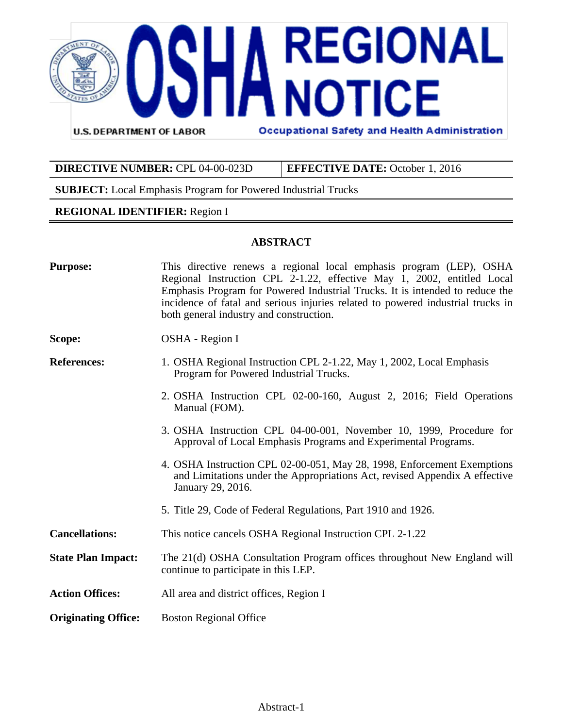

| <b>DIRECTIVE NUMBER: CPL 04-00-023D</b> | <b>EFFECTIVE DATE:</b> October 1, 2016 |
|-----------------------------------------|----------------------------------------|

**SUBJECT:** Local Emphasis Program for Powered Industrial Trucks

#### **REGIONAL IDENTIFIER:** Region I

#### **ABSTRACT**

| <b>Purpose:</b>            | This directive renews a regional local emphasis program (LEP), OSHA<br>Regional Instruction CPL 2-1.22, effective May 1, 2002, entitled Local<br>Emphasis Program for Powered Industrial Trucks. It is intended to reduce the<br>incidence of fatal and serious injuries related to powered industrial trucks in<br>both general industry and construction. |  |
|----------------------------|-------------------------------------------------------------------------------------------------------------------------------------------------------------------------------------------------------------------------------------------------------------------------------------------------------------------------------------------------------------|--|
| Scope:                     | OSHA - Region I                                                                                                                                                                                                                                                                                                                                             |  |
| <b>References:</b>         | 1. OSHA Regional Instruction CPL 2-1.22, May 1, 2002, Local Emphasis<br>Program for Powered Industrial Trucks.                                                                                                                                                                                                                                              |  |
|                            | 2. OSHA Instruction CPL 02-00-160, August 2, 2016; Field Operations<br>Manual (FOM).                                                                                                                                                                                                                                                                        |  |
|                            | 3. OSHA Instruction CPL 04-00-001, November 10, 1999, Procedure for<br>Approval of Local Emphasis Programs and Experimental Programs.                                                                                                                                                                                                                       |  |
|                            | 4. OSHA Instruction CPL 02-00-051, May 28, 1998, Enforcement Exemptions<br>and Limitations under the Appropriations Act, revised Appendix A effective<br>January 29, 2016.                                                                                                                                                                                  |  |
|                            | 5. Title 29, Code of Federal Regulations, Part 1910 and 1926.                                                                                                                                                                                                                                                                                               |  |
| <b>Cancellations:</b>      | This notice cancels OSHA Regional Instruction CPL 2-1.22                                                                                                                                                                                                                                                                                                    |  |
| <b>State Plan Impact:</b>  | The 21(d) OSHA Consultation Program offices throughout New England will<br>continue to participate in this LEP.                                                                                                                                                                                                                                             |  |
| <b>Action Offices:</b>     | All area and district offices, Region I                                                                                                                                                                                                                                                                                                                     |  |
| <b>Originating Office:</b> | <b>Boston Regional Office</b>                                                                                                                                                                                                                                                                                                                               |  |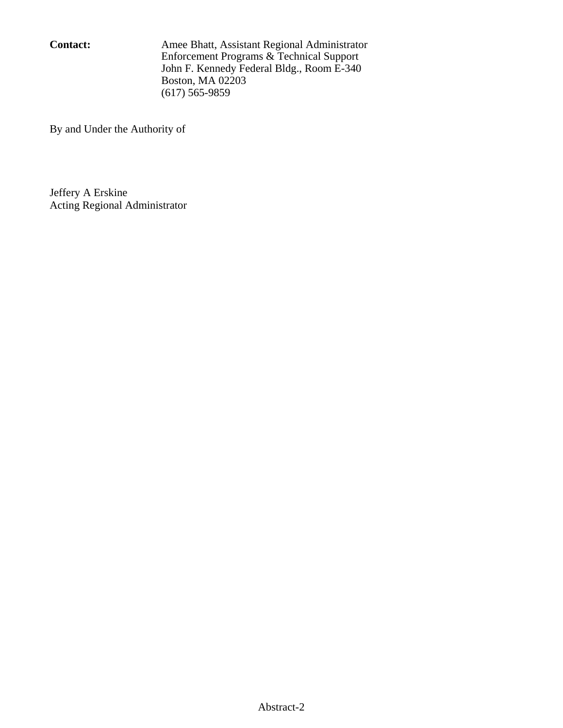**Contact:** Amee Bhatt, Assistant Regional Administrator Enforcement Programs & Technical Support John F. Kennedy Federal Bldg., Room E-340 Boston, MA 02203 (617) 565-9859

By and Under the Authority of

Jeffery A Erskine Acting Regional Administrator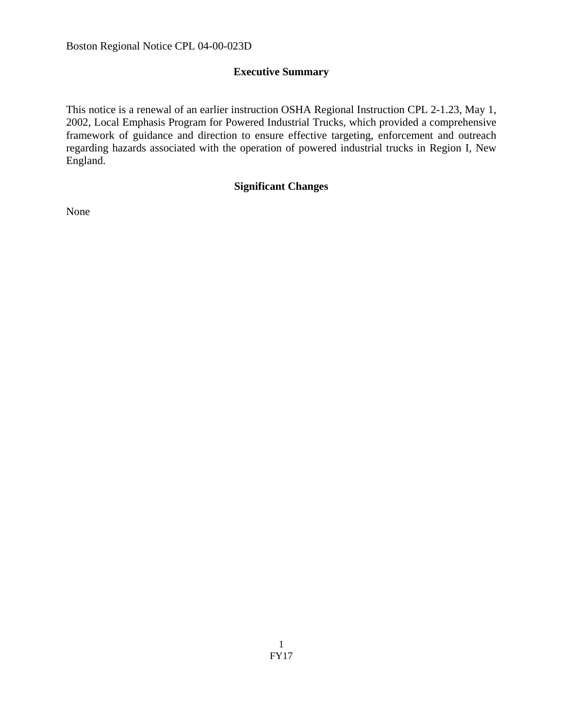# **Executive Summary**

This notice is a renewal of an earlier instruction OSHA Regional Instruction CPL 2-1.23, May 1, 2002, Local Emphasis Program for Powered Industrial Trucks, which provided a comprehensive framework of guidance and direction to ensure effective targeting, enforcement and outreach regarding hazards associated with the operation of powered industrial trucks in Region I, New England.

# **Significant Changes**

None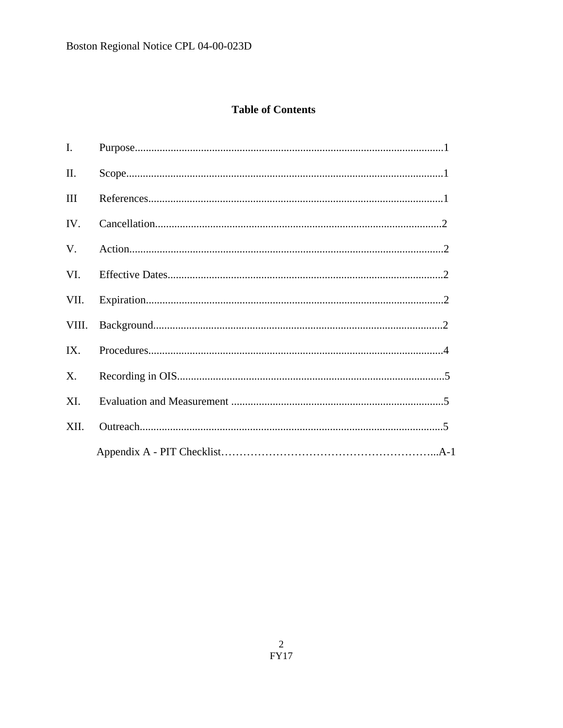# **Table of Contents**

| Ι.    |  |
|-------|--|
| П.    |  |
| III   |  |
| IV.   |  |
| V.    |  |
|       |  |
|       |  |
| VIII. |  |
| IX.   |  |
| X.    |  |
| XI.   |  |
| XII.  |  |
|       |  |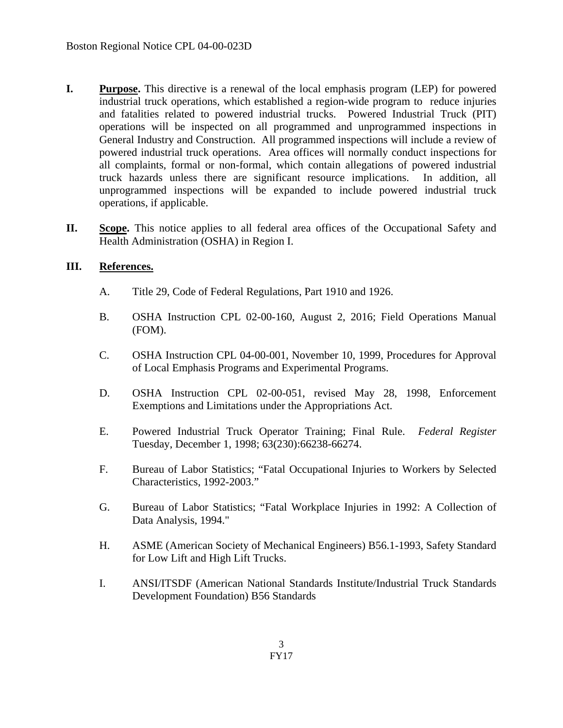- **I. Purpose.** This directive is a renewal of the local emphasis program (LEP) for powered industrial truck operations, which established a region-wide program to reduce injuries and fatalities related to powered industrial trucks. Powered Industrial Truck (PIT) operations will be inspected on all programmed and unprogrammed inspections in General Industry and Construction. All programmed inspections will include a review of powered industrial truck operations. Area offices will normally conduct inspections for all complaints, formal or non-formal, which contain allegations of powered industrial truck hazards unless there are significant resource implications. In addition, all unprogrammed inspections will be expanded to include powered industrial truck operations, if applicable.
- **II. Scope.** This notice applies to all federal area offices of the Occupational Safety and Health Administration (OSHA) in Region I.

### **III. References.**

- A. Title 29, Code of Federal Regulations, Part 1910 and 1926.
- B. OSHA Instruction CPL 02-00-160, August 2, 2016; Field Operations Manual (FOM).
- C. OSHA Instruction CPL 04-00-001, November 10, 1999, Procedures for Approval of Local Emphasis Programs and Experimental Programs.
- D. OSHA Instruction CPL 02-00-051, revised May 28, 1998, Enforcement Exemptions and Limitations under the Appropriations Act.
- E. Powered Industrial Truck Operator Training; Final Rule. *Federal Register* Tuesday, December 1, 1998; 63(230):66238-66274.
- F. Bureau of Labor Statistics; "Fatal Occupational Injuries to Workers by Selected Characteristics, 1992-2003."
- G. Bureau of Labor Statistics; "Fatal Workplace Injuries in 1992: A Collection of Data Analysis, 1994."
- H. ASME (American Society of Mechanical Engineers) B56.1-1993, Safety Standard for Low Lift and High Lift Trucks.
- I. ANSI/ITSDF (American National Standards Institute/Industrial Truck Standards Development Foundation) B56 Standards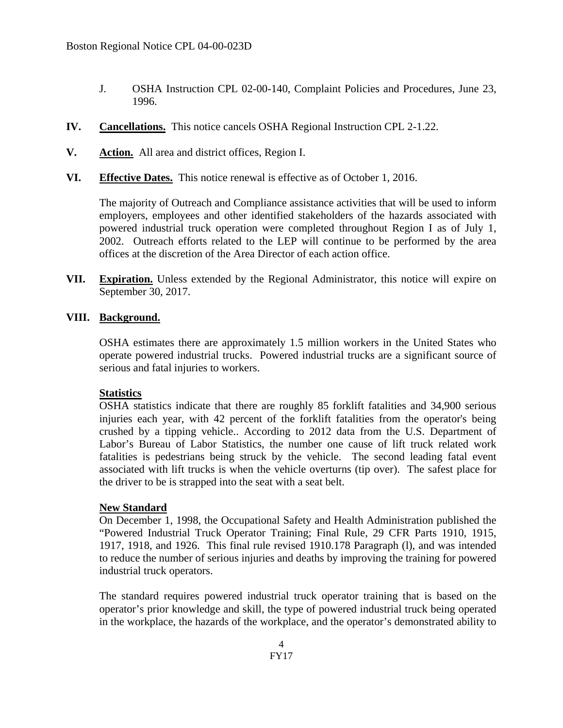- J. OSHA Instruction CPL 02-00-140, Complaint Policies and Procedures, June 23, 1996.
- **IV. Cancellations.** This notice cancels OSHA Regional Instruction CPL 2-1.22.
- **V. Action.** All area and district offices, Region I.
- **VI. Effective Dates.** This notice renewal is effective as of October 1, 2016.

The majority of Outreach and Compliance assistance activities that will be used to inform employers, employees and other identified stakeholders of the hazards associated with powered industrial truck operation were completed throughout Region I as of July 1, 2002. Outreach efforts related to the LEP will continue to be performed by the area offices at the discretion of the Area Director of each action office.

**VII. Expiration.** Unless extended by the Regional Administrator, this notice will expire on September 30, 2017.

#### **VIII. Background.**

OSHA estimates there are approximately 1.5 million workers in the United States who operate powered industrial trucks. Powered industrial trucks are a significant source of serious and fatal injuries to workers.

#### **Statistics**

OSHA statistics indicate that there are roughly 85 forklift fatalities and 34,900 serious injuries each year, with 42 percent of the forklift fatalities from the operator's being crushed by a tipping vehicle.. According to 2012 data from the U.S. Department of Labor's Bureau of Labor Statistics, the number one cause of lift truck related work fatalities is pedestrians being struck by the vehicle. The second leading fatal event associated with lift trucks is when the vehicle overturns (tip over). The safest place for the driver to be is strapped into the seat with a seat belt.

#### **New Standard**

On December 1, 1998, the Occupational Safety and Health Administration published the "Powered Industrial Truck Operator Training; Final Rule, 29 CFR Parts 1910, 1915, 1917, 1918, and 1926. This final rule revised 1910.178 Paragraph (l), and was intended to reduce the number of serious injuries and deaths by improving the training for powered industrial truck operators.

The standard requires powered industrial truck operator training that is based on the operator's prior knowledge and skill, the type of powered industrial truck being operated in the workplace, the hazards of the workplace, and the operator's demonstrated ability to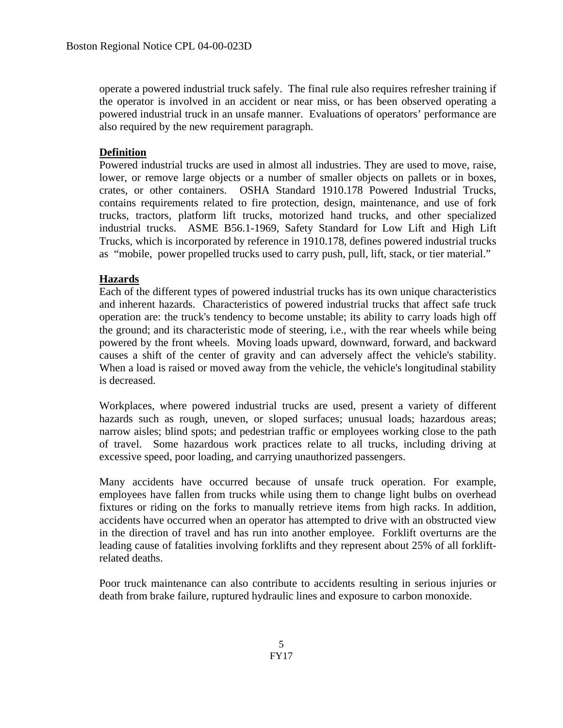operate a powered industrial truck safely. The final rule also requires refresher training if the operator is involved in an accident or near miss, or has been observed operating a powered industrial truck in an unsafe manner. Evaluations of operators' performance are also required by the new requirement paragraph.

### **Definition**

Powered industrial trucks are used in almost all industries. They are used to move, raise, lower, or remove large objects or a number of smaller objects on pallets or in boxes, crates, or other containers. OSHA Standard 1910.178 Powered Industrial Trucks, contains requirements related to fire protection, design, maintenance, and use of fork trucks, tractors, platform lift trucks, motorized hand trucks, and other specialized industrial trucks. ASME B56.1-1969, Safety Standard for Low Lift and High Lift Trucks, which is incorporated by reference in 1910.178, defines powered industrial trucks as "mobile, power propelled trucks used to carry push, pull, lift, stack, or tier material."

### **Hazards**

Each of the different types of powered industrial trucks has its own unique characteristics and inherent hazards. Characteristics of powered industrial trucks that affect safe truck operation are: the truck's tendency to become unstable; its ability to carry loads high off the ground; and its characteristic mode of steering, i.e., with the rear wheels while being powered by the front wheels. Moving loads upward, downward, forward, and backward causes a shift of the center of gravity and can adversely affect the vehicle's stability. When a load is raised or moved away from the vehicle, the vehicle's longitudinal stability is decreased.

Workplaces, where powered industrial trucks are used, present a variety of different hazards such as rough, uneven, or sloped surfaces; unusual loads; hazardous areas; narrow aisles; blind spots; and pedestrian traffic or employees working close to the path of travel. Some hazardous work practices relate to all trucks, including driving at excessive speed, poor loading, and carrying unauthorized passengers.

Many accidents have occurred because of unsafe truck operation. For example, employees have fallen from trucks while using them to change light bulbs on overhead fixtures or riding on the forks to manually retrieve items from high racks. In addition, accidents have occurred when an operator has attempted to drive with an obstructed view in the direction of travel and has run into another employee. Forklift overturns are the leading cause of fatalities involving forklifts and they represent about 25% of all forkliftrelated deaths.

Poor truck maintenance can also contribute to accidents resulting in serious injuries or death from brake failure, ruptured hydraulic lines and exposure to carbon monoxide.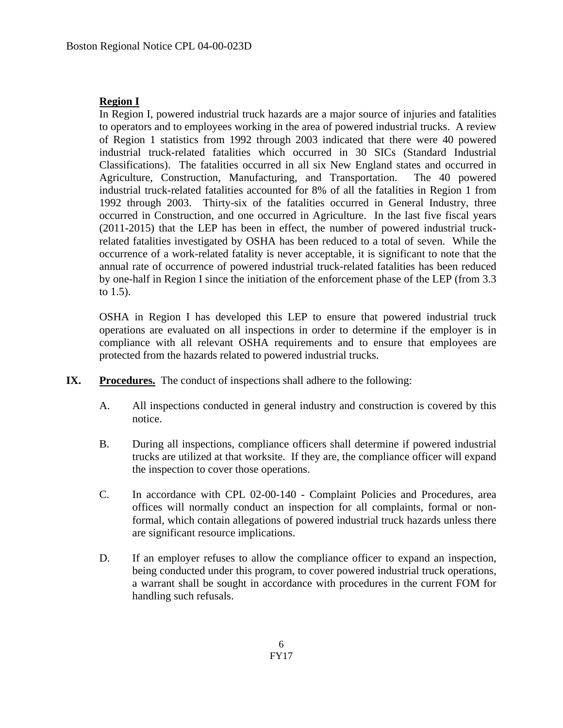# **Region I**

In Region I, powered industrial truck hazards are a major source of injuries and fatalities to operators and to employees working in the area of powered industrial trucks. A review of Region 1 statistics from 1992 through 2003 indicated that there were 40 powered industrial truck-related fatalities which occurred in 30 SICs (Standard Industrial Classifications). The fatalities occurred in all six New England states and occurred in Agriculture, Construction, Manufacturing, and Transportation. The 40 powered industrial truck-related fatalities accounted for 8% of all the fatalities in Region 1 from 1992 through 2003. Thirty-six of the fatalities occurred in General Industry, three occurred in Construction, and one occurred in Agriculture. In the last five fiscal years (2011-2015) that the LEP has been in effect, the number of powered industrial truckrelated fatalities investigated by OSHA has been reduced to a total of seven. While the occurrence of a work-related fatality is never acceptable, it is significant to note that the annual rate of occurrence of powered industrial truck-related fatalities has been reduced by one-half in Region I since the initiation of the enforcement phase of the LEP (from 3.3 to 1.5).

OSHA in Region I has developed this LEP to ensure that powered industrial truck operations are evaluated on all inspections in order to determine if the employer is in compliance with all relevant OSHA requirements and to ensure that employees are protected from the hazards related to powered industrial trucks.

- **IX. Procedures.** The conduct of inspections shall adhere to the following:
	- A. All inspections conducted in general industry and construction is covered by this notice.
	- B. During all inspections, compliance officers shall determine if powered industrial trucks are utilized at that worksite. If they are, the compliance officer will expand the inspection to cover those operations.
	- C. In accordance with CPL 02-00-140 Complaint Policies and Procedures, area offices will normally conduct an inspection for all complaints, formal or nonformal, which contain allegations of powered industrial truck hazards unless there are significant resource implications.
	- D. If an employer refuses to allow the compliance officer to expand an inspection, being conducted under this program, to cover powered industrial truck operations, a warrant shall be sought in accordance with procedures in the current FOM for handling such refusals.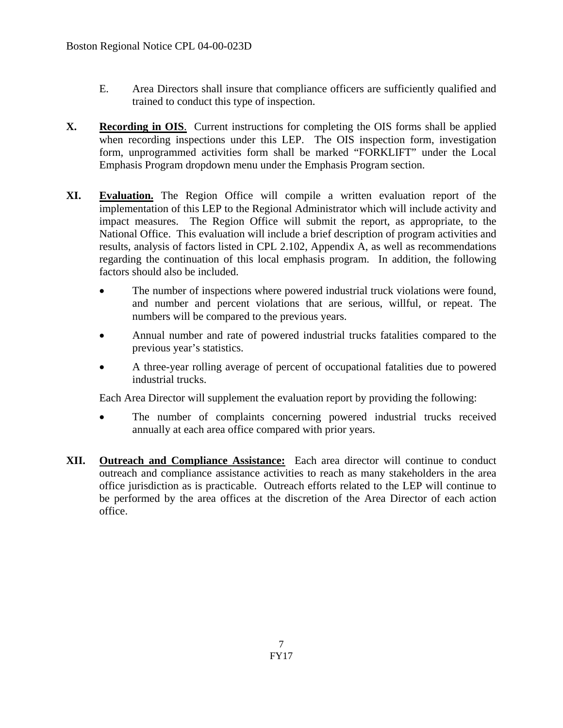- E. Area Directors shall insure that compliance officers are sufficiently qualified and trained to conduct this type of inspection.
- **X. Recording in OIS**. Current instructions for completing the OIS forms shall be applied when recording inspections under this LEP. The OIS inspection form, investigation form, unprogrammed activities form shall be marked "FORKLIFT" under the Local Emphasis Program dropdown menu under the Emphasis Program section.
- **XI. Evaluation.** The Region Office will compile a written evaluation report of the implementation of this LEP to the Regional Administrator which will include activity and impact measures. The Region Office will submit the report, as appropriate, to the National Office. This evaluation will include a brief description of program activities and results, analysis of factors listed in CPL 2.102, Appendix A, as well as recommendations regarding the continuation of this local emphasis program. In addition, the following factors should also be included.
	- The number of inspections where powered industrial truck violations were found, and number and percent violations that are serious, willful, or repeat. The numbers will be compared to the previous years.
	- Annual number and rate of powered industrial trucks fatalities compared to the previous year's statistics.
	- A three-year rolling average of percent of occupational fatalities due to powered industrial trucks.

Each Area Director will supplement the evaluation report by providing the following:

- The number of complaints concerning powered industrial trucks received annually at each area office compared with prior years.
- **XII. Outreach and Compliance Assistance:** Each area director will continue to conduct outreach and compliance assistance activities to reach as many stakeholders in the area office jurisdiction as is practicable. Outreach efforts related to the LEP will continue to be performed by the area offices at the discretion of the Area Director of each action office.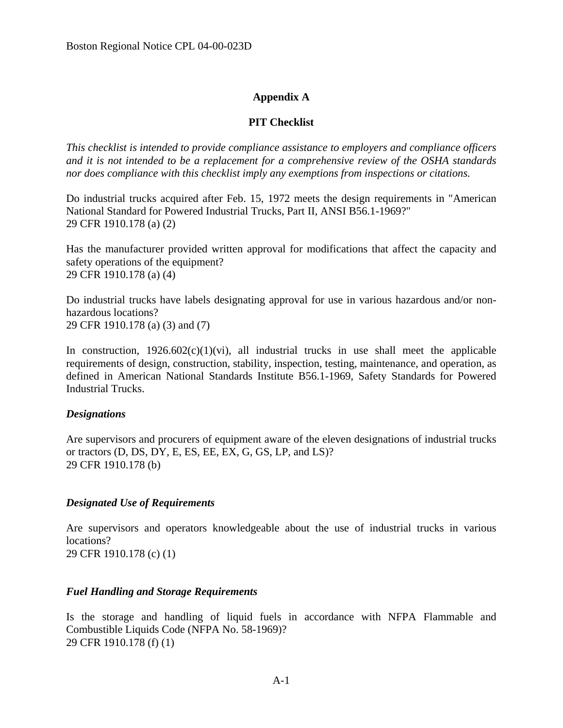# **Appendix A**

# **PIT Checklist**

*This checklist is intended to provide compliance assistance to employers and compliance officers and it is not intended to be a replacement for a comprehensive review of the OSHA standards nor does compliance with this checklist imply any exemptions from inspections or citations.* 

Do industrial trucks acquired after Feb. 15, 1972 meets the design requirements in "American National Standard for Powered Industrial Trucks, Part II, ANSI B56.1-1969?" 29 CFR 1910.178 (a) (2)

Has the manufacturer provided written approval for modifications that affect the capacity and safety operations of the equipment? 29 CFR 1910.178 (a) (4)

Do industrial trucks have labels designating approval for use in various hazardous and/or nonhazardous locations? 29 CFR 1910.178 (a) (3) and (7)

In construction,  $1926.602(c)(1)(vi)$ , all industrial trucks in use shall meet the applicable requirements of design, construction, stability, inspection, testing, maintenance, and operation, as defined in American National Standards Institute B56.1-1969, Safety Standards for Powered Industrial Trucks.

# *Designations*

Are supervisors and procurers of equipment aware of the eleven designations of industrial trucks or tractors (D, DS, DY, E, ES, EE, EX, G, GS, LP, and LS)? 29 CFR 1910.178 (b)

# *Designated Use of Requirements*

Are supervisors and operators knowledgeable about the use of industrial trucks in various locations?

29 CFR 1910.178 (c) (1)

# *Fuel Handling and Storage Requirements*

Is the storage and handling of liquid fuels in accordance with NFPA Flammable and Combustible Liquids Code (NFPA No. 58-1969)? 29 CFR 1910.178 (f) (1)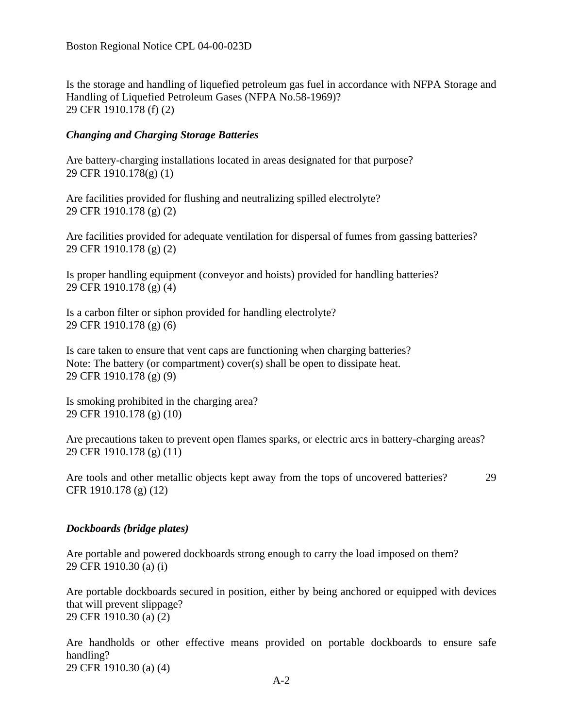Is the storage and handling of liquefied petroleum gas fuel in accordance with NFPA Storage and Handling of Liquefied Petroleum Gases (NFPA No.58-1969)? 29 CFR 1910.178 (f) (2)

### *Changing and Charging Storage Batteries*

Are battery-charging installations located in areas designated for that purpose? 29 CFR 1910.178(g) (1)

Are facilities provided for flushing and neutralizing spilled electrolyte? 29 CFR 1910.178 (g) (2)

Are facilities provided for adequate ventilation for dispersal of fumes from gassing batteries? 29 CFR 1910.178 (g) (2)

Is proper handling equipment (conveyor and hoists) provided for handling batteries? 29 CFR 1910.178 (g) (4)

Is a carbon filter or siphon provided for handling electrolyte? 29 CFR 1910.178 (g) (6)

Is care taken to ensure that vent caps are functioning when charging batteries? Note: The battery (or compartment) cover(s) shall be open to dissipate heat. 29 CFR 1910.178 (g) (9)

Is smoking prohibited in the charging area? 29 CFR 1910.178 (g) (10)

Are precautions taken to prevent open flames sparks, or electric arcs in battery-charging areas? 29 CFR 1910.178 (g) (11)

Are tools and other metallic objects kept away from the tops of uncovered batteries? 29 CFR 1910.178 (g) (12)

#### *Dockboards (bridge plates)*

Are portable and powered dockboards strong enough to carry the load imposed on them? 29 CFR 1910.30 (a) (i)

Are portable dockboards secured in position, either by being anchored or equipped with devices that will prevent slippage? 29 CFR 1910.30 (a) (2)

Are handholds or other effective means provided on portable dockboards to ensure safe handling? 29 CFR 1910.30 (a) (4)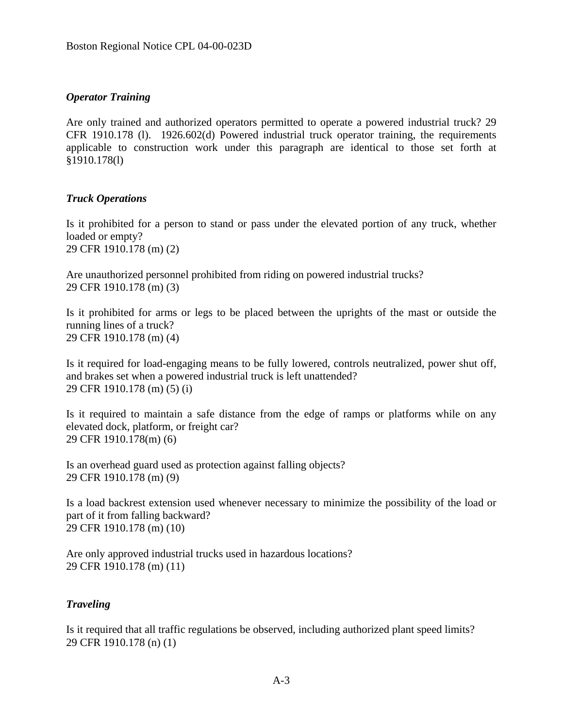### *Operator Training*

Are only trained and authorized operators permitted to operate a powered industrial truck? 29 CFR 1910.178 (l). 1926.602(d) Powered industrial truck operator training, the requirements applicable to construction work under this paragraph are identical to those set forth at §1910.178(l)

#### *Truck Operations*

Is it prohibited for a person to stand or pass under the elevated portion of any truck, whether loaded or empty? 29 CFR 1910.178 (m) (2)

Are unauthorized personnel prohibited from riding on powered industrial trucks? 29 CFR 1910.178 (m) (3)

Is it prohibited for arms or legs to be placed between the uprights of the mast or outside the running lines of a truck? 29 CFR 1910.178 (m) (4)

Is it required for load-engaging means to be fully lowered, controls neutralized, power shut off, and brakes set when a powered industrial truck is left unattended? 29 CFR 1910.178 (m) (5) (i)

Is it required to maintain a safe distance from the edge of ramps or platforms while on any elevated dock, platform, or freight car? 29 CFR 1910.178(m) (6)

Is an overhead guard used as protection against falling objects? 29 CFR 1910.178 (m) (9)

Is a load backrest extension used whenever necessary to minimize the possibility of the load or part of it from falling backward? 29 CFR 1910.178 (m) (10)

Are only approved industrial trucks used in hazardous locations? 29 CFR 1910.178 (m) (11)

#### *Traveling*

Is it required that all traffic regulations be observed, including authorized plant speed limits? 29 CFR 1910.178 (n) (1)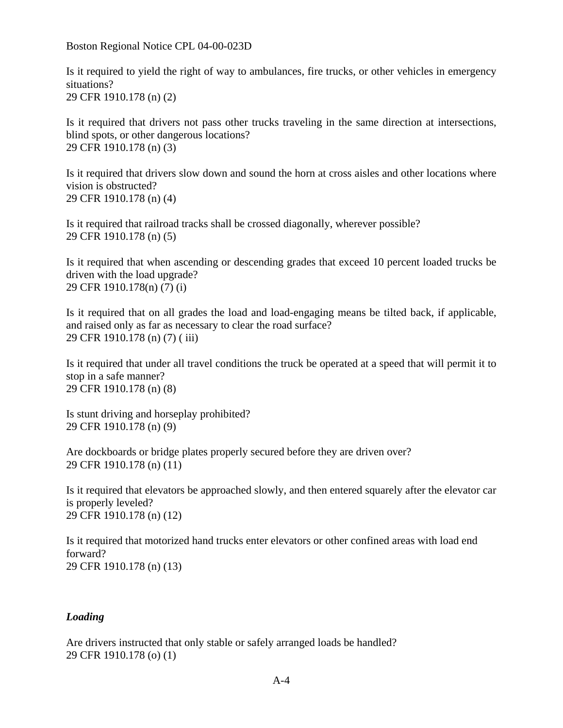Boston Regional Notice CPL 04-00-023D

Is it required to yield the right of way to ambulances, fire trucks, or other vehicles in emergency situations? 29 CFR 1910.178 (n) (2)

Is it required that drivers not pass other trucks traveling in the same direction at intersections, blind spots, or other dangerous locations? 29 CFR 1910.178 (n) (3)

Is it required that drivers slow down and sound the horn at cross aisles and other locations where vision is obstructed? 29 CFR 1910.178 (n) (4)

Is it required that railroad tracks shall be crossed diagonally, wherever possible? 29 CFR 1910.178 (n) (5)

Is it required that when ascending or descending grades that exceed 10 percent loaded trucks be driven with the load upgrade? 29 CFR 1910.178(n) (7) (i)

Is it required that on all grades the load and load-engaging means be tilted back, if applicable, and raised only as far as necessary to clear the road surface? 29 CFR 1910.178 (n) (7) ( iii)

Is it required that under all travel conditions the truck be operated at a speed that will permit it to stop in a safe manner? 29 CFR 1910.178 (n) (8)

Is stunt driving and horseplay prohibited? 29 CFR 1910.178 (n) (9)

Are dockboards or bridge plates properly secured before they are driven over? 29 CFR 1910.178 (n) (11)

Is it required that elevators be approached slowly, and then entered squarely after the elevator car is properly leveled? 29 CFR 1910.178 (n) (12)

Is it required that motorized hand trucks enter elevators or other confined areas with load end forward? 29 CFR 1910.178 (n) (13)

# *Loading*

Are drivers instructed that only stable or safely arranged loads be handled? 29 CFR 1910.178 (o) (1)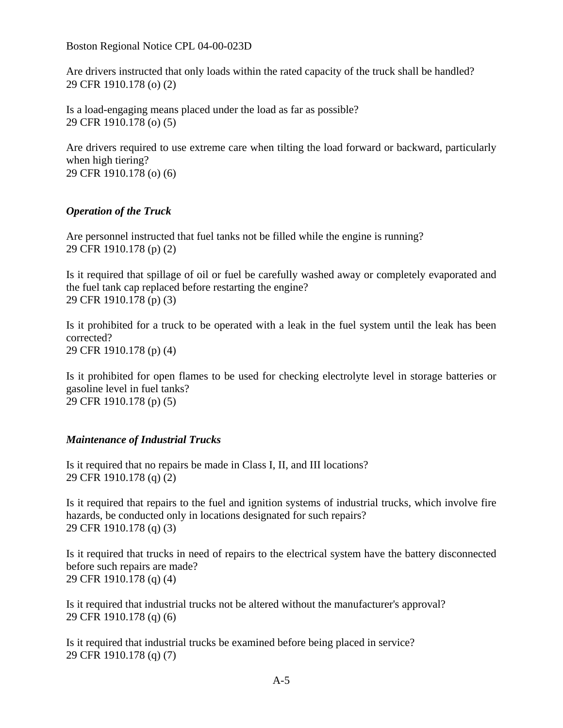Boston Regional Notice CPL 04-00-023D

Are drivers instructed that only loads within the rated capacity of the truck shall be handled? 29 CFR 1910.178 (o) (2)

Is a load-engaging means placed under the load as far as possible? 29 CFR 1910.178 (o) (5)

Are drivers required to use extreme care when tilting the load forward or backward, particularly when high tiering? 29 CFR 1910.178 (o) (6)

### *Operation of the Truck*

Are personnel instructed that fuel tanks not be filled while the engine is running? 29 CFR 1910.178 (p) (2)

Is it required that spillage of oil or fuel be carefully washed away or completely evaporated and the fuel tank cap replaced before restarting the engine? 29 CFR 1910.178 (p) (3)

Is it prohibited for a truck to be operated with a leak in the fuel system until the leak has been corrected? 29 CFR 1910.178 (p) (4)

Is it prohibited for open flames to be used for checking electrolyte level in storage batteries or gasoline level in fuel tanks? 29 CFR 1910.178 (p) (5)

# *Maintenance of Industrial Trucks*

Is it required that no repairs be made in Class I, II, and III locations? 29 CFR 1910.178 (q) (2)

Is it required that repairs to the fuel and ignition systems of industrial trucks, which involve fire hazards, be conducted only in locations designated for such repairs? 29 CFR 1910.178 (q) (3)

Is it required that trucks in need of repairs to the electrical system have the battery disconnected before such repairs are made? 29 CFR 1910.178 (q) (4)

Is it required that industrial trucks not be altered without the manufacturer's approval? 29 CFR 1910.178 (q) (6)

Is it required that industrial trucks be examined before being placed in service? 29 CFR 1910.178 (q) (7)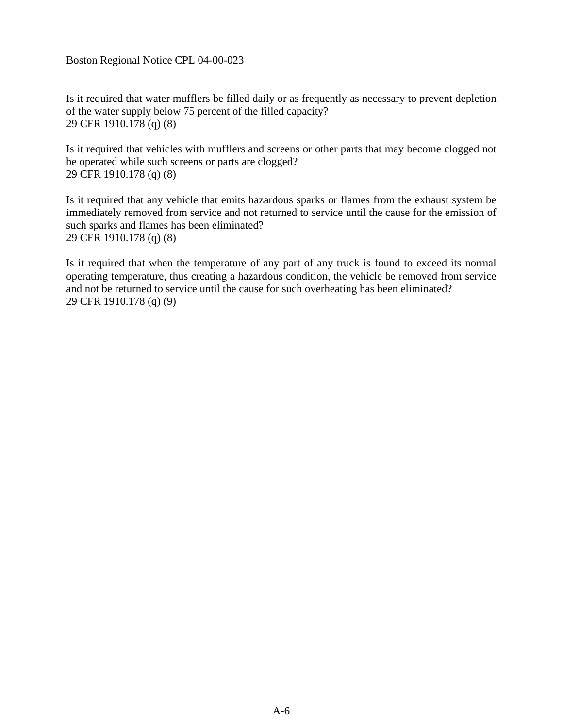Boston Regional Notice CPL 04-00-023

Is it required that water mufflers be filled daily or as frequently as necessary to prevent depletion of the water supply below 75 percent of the filled capacity? 29 CFR 1910.178 (q) (8)

Is it required that vehicles with mufflers and screens or other parts that may become clogged not be operated while such screens or parts are clogged? 29 CFR 1910.178 (q) (8)

Is it required that any vehicle that emits hazardous sparks or flames from the exhaust system be immediately removed from service and not returned to service until the cause for the emission of such sparks and flames has been eliminated? 29 CFR 1910.178 (q) (8)

Is it required that when the temperature of any part of any truck is found to exceed its normal operating temperature, thus creating a hazardous condition, the vehicle be removed from service and not be returned to service until the cause for such overheating has been eliminated? 29 CFR 1910.178 (q) (9)